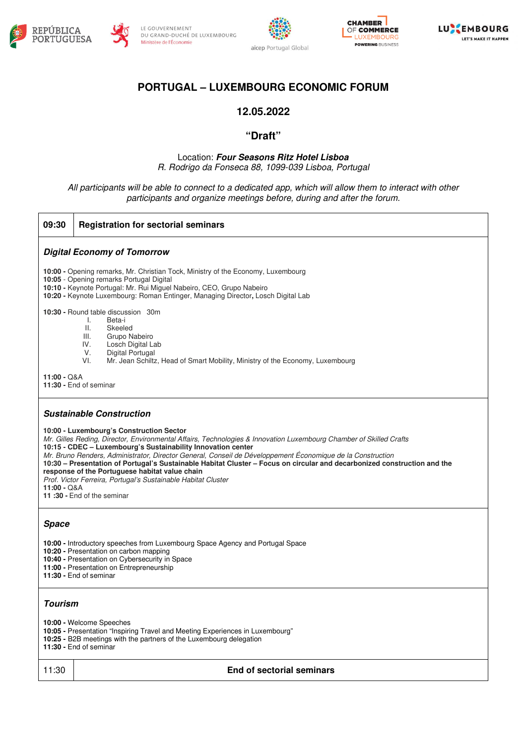









# **PORTUGAL – LUXEMBOURG ECONOMIC FORUM**

### **12.05.2022**

### **"Draft"**

#### Location: **Four Seasons Ritz Hotel Lisboa**  R. Rodrigo da Fonseca 88, 1099-039 Lisboa, Portugal

All participants will be able to connect to a dedicated app, which will allow them to interact with other participants and organize meetings before, during and after the forum.

| 09:30<br><b>Registration for sectorial seminars</b>                                                                                                                                                                                                                                                                                                                                                                                                                                                                                                                                                                                          |  |  |
|----------------------------------------------------------------------------------------------------------------------------------------------------------------------------------------------------------------------------------------------------------------------------------------------------------------------------------------------------------------------------------------------------------------------------------------------------------------------------------------------------------------------------------------------------------------------------------------------------------------------------------------------|--|--|
| <b>Digital Economy of Tomorrow</b>                                                                                                                                                                                                                                                                                                                                                                                                                                                                                                                                                                                                           |  |  |
| 10:00 - Opening remarks, Mr. Christian Tock, Ministry of the Economy, Luxembourg<br>10:05 - Opening remarks Portugal Digital<br>10:10 - Keynote Portugal: Mr. Rui Miguel Nabeiro, CEO, Grupo Nabeiro<br>10:20 - Keynote Luxembourg: Roman Entinger, Managing Director, Losch Digital Lab                                                                                                                                                                                                                                                                                                                                                     |  |  |
| 10:30 - Round table discussion 30m<br>Ι.<br>Beta-i<br>$\mathbf{II}$ .<br>Skeeled<br>III.<br>Grupo Nabeiro<br>IV.<br>Losch Digital Lab<br>V.<br>Digital Portugal<br>VI.<br>Mr. Jean Schiltz, Head of Smart Mobility, Ministry of the Economy, Luxembourg                                                                                                                                                                                                                                                                                                                                                                                      |  |  |
| $11:00 - Q & A$<br>11:30 - End of seminar                                                                                                                                                                                                                                                                                                                                                                                                                                                                                                                                                                                                    |  |  |
| <b>Sustainable Construction</b>                                                                                                                                                                                                                                                                                                                                                                                                                                                                                                                                                                                                              |  |  |
| 10:00 - Luxembourg's Construction Sector<br>Mr. Gilles Reding, Director, Environmental Affairs, Technologies & Innovation Luxembourg Chamber of Skilled Crafts<br>10:15 - CDEC - Luxembourg's Sustainability Innovation center<br>Mr. Bruno Renders, Administrator, Director General, Conseil de Développement Économique de la Construction<br>10:30 – Presentation of Portugal's Sustainable Habitat Cluster – Focus on circular and decarbonized construction and the<br>response of the Portuguese habitat value chain<br>Prof. Victor Ferreira, Portugal's Sustainable Habitat Cluster<br>$11:00 - Q & A$<br>11:30 - End of the seminar |  |  |
| <b>Space</b>                                                                                                                                                                                                                                                                                                                                                                                                                                                                                                                                                                                                                                 |  |  |
| 10:00 - Introductory speeches from Luxembourg Space Agency and Portugal Space<br>10:20 - Presentation on carbon mapping<br>10:40 - Presentation on Cybersecurity in Space<br>11:00 - Presentation on Entrepreneurship<br>11:30 - End of seminar                                                                                                                                                                                                                                                                                                                                                                                              |  |  |
| <b>Tourism</b>                                                                                                                                                                                                                                                                                                                                                                                                                                                                                                                                                                                                                               |  |  |
| 10:00 - Welcome Speeches<br>10:05 - Presentation "Inspiring Travel and Meeting Experiences in Luxembourg"<br>10:25 - B2B meetings with the partners of the Luxembourg delegation<br>11:30 - End of seminar                                                                                                                                                                                                                                                                                                                                                                                                                                   |  |  |
| 11:30<br>End of sectorial seminars                                                                                                                                                                                                                                                                                                                                                                                                                                                                                                                                                                                                           |  |  |
|                                                                                                                                                                                                                                                                                                                                                                                                                                                                                                                                                                                                                                              |  |  |